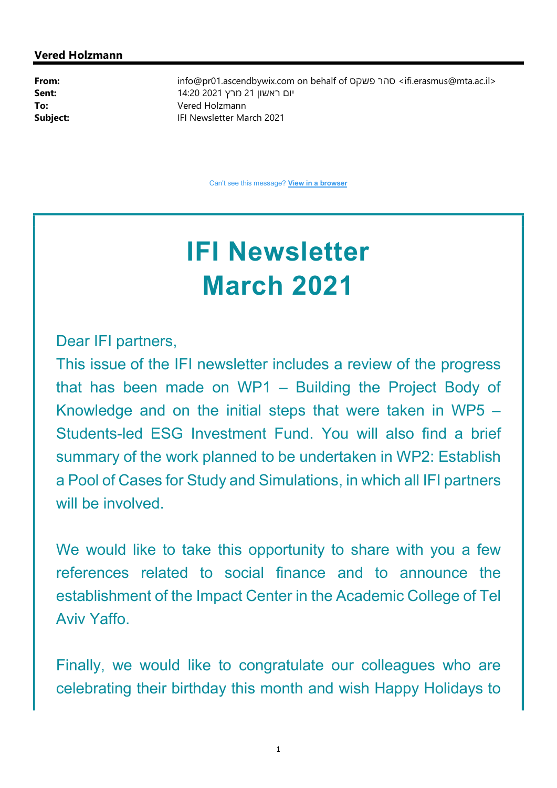#### Vered Holzmann

From: info@pr01.ascendbywix.com on behalf of פשקס סהר> ifi.erasmus@mta.ac.il> יום ראשון 21 מרץ 2021 14:20 14:20 יום ראשון 21 To: Vered Holzmann Subject: **IFI Newsletter March 2021** 

Can't see this message? View in a browser

# IFI Newsletter March 2021

Dear IFI partners,

This issue of the IFI newsletter includes a review of the progress that has been made on WP1 – Building the Project Body of Knowledge and on the initial steps that were taken in WP5 – Students-led ESG Investment Fund. You will also find a brief summary of the work planned to be undertaken in WP2: Establish a Pool of Cases for Study and Simulations, in which all IFI partners will be involved.

We would like to take this opportunity to share with you a few references related to social finance and to announce the establishment of the Impact Center in the Academic College of Tel Aviv Yaffo.

Finally, we would like to congratulate our colleagues who are celebrating their birthday this month and wish Happy Holidays to

1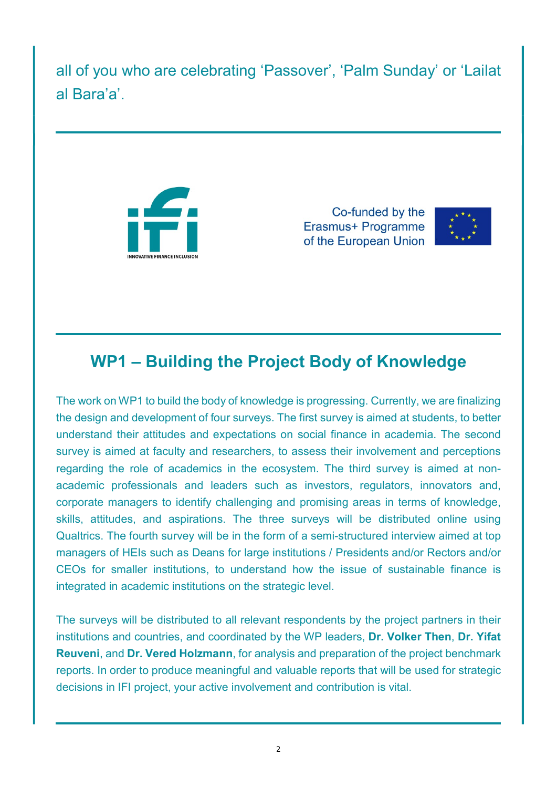all of you who are celebrating 'Passover', 'Palm Sunday' or 'Lailat al Bara'a'.



Co-funded by the Erasmus+ Programme of the European Union



## WP1 – Building the Project Body of Knowledge

The work on WP1 to build the body of knowledge is progressing. Currently, we are finalizing the design and development of four surveys. The first survey is aimed at students, to better understand their attitudes and expectations on social finance in academia. The second survey is aimed at faculty and researchers, to assess their involvement and perceptions regarding the role of academics in the ecosystem. The third survey is aimed at nonacademic professionals and leaders such as investors, regulators, innovators and, corporate managers to identify challenging and promising areas in terms of knowledge, skills, attitudes, and aspirations. The three surveys will be distributed online using Qualtrics. The fourth survey will be in the form of a semi-structured interview aimed at top managers of HEIs such as Deans for large institutions / Presidents and/or Rectors and/or CEOs for smaller institutions, to understand how the issue of sustainable finance is integrated in academic institutions on the strategic level.

The surveys will be distributed to all relevant respondents by the project partners in their institutions and countries, and coordinated by the WP leaders, Dr. Volker Then, Dr. Yifat Reuveni, and Dr. Vered Holzmann, for analysis and preparation of the project benchmark reports. In order to produce meaningful and valuable reports that will be used for strategic decisions in IFI project, your active involvement and contribution is vital.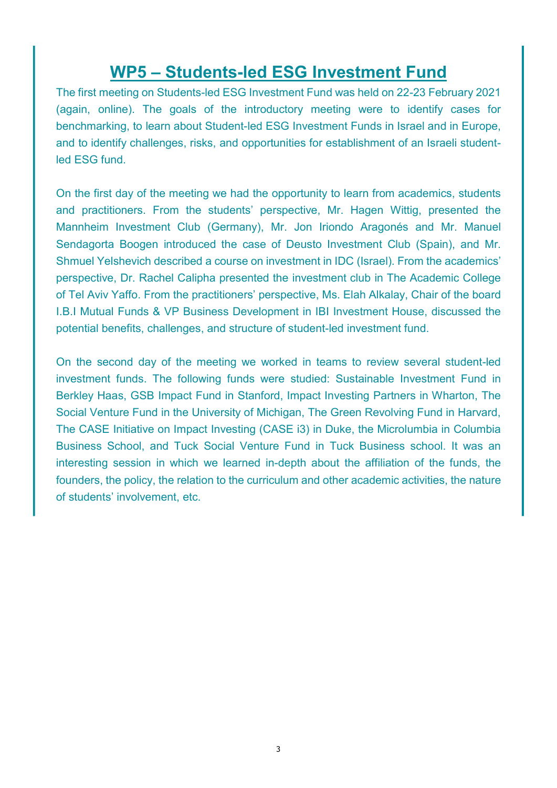## WP5 – Students-led ESG Investment Fund

The first meeting on Students-led ESG Investment Fund was held on 22-23 February 2021 (again, online). The goals of the introductory meeting were to identify cases for benchmarking, to learn about Student-led ESG Investment Funds in Israel and in Europe, and to identify challenges, risks, and opportunities for establishment of an Israeli studentled ESG fund.

On the first day of the meeting we had the opportunity to learn from academics, students and practitioners. From the students' perspective, Mr. Hagen Wittig, presented the Mannheim Investment Club (Germany), Mr. Jon Iriondo Aragonés and Mr. Manuel Sendagorta Boogen introduced the case of Deusto Investment Club (Spain), and Mr. Shmuel Yelshevich described a course on investment in IDC (Israel). From the academics' perspective, Dr. Rachel Calipha presented the investment club in The Academic College of Tel Aviv Yaffo. From the practitioners' perspective, Ms. Elah Alkalay, Chair of the board I.B.I Mutual Funds & VP Business Development in IBI Investment House, discussed the potential benefits, challenges, and structure of student-led investment fund.

On the second day of the meeting we worked in teams to review several student-led investment funds. The following funds were studied: Sustainable Investment Fund in Berkley Haas, GSB Impact Fund in Stanford, Impact Investing Partners in Wharton, The Social Venture Fund in the University of Michigan, The Green Revolving Fund in Harvard, The CASE Initiative on Impact Investing (CASE i3) in Duke, the Microlumbia in Columbia Business School, and Tuck Social Venture Fund in Tuck Business school. It was an interesting session in which we learned in-depth about the affiliation of the funds, the founders, the policy, the relation to the curriculum and other academic activities, the nature of students' involvement, etc.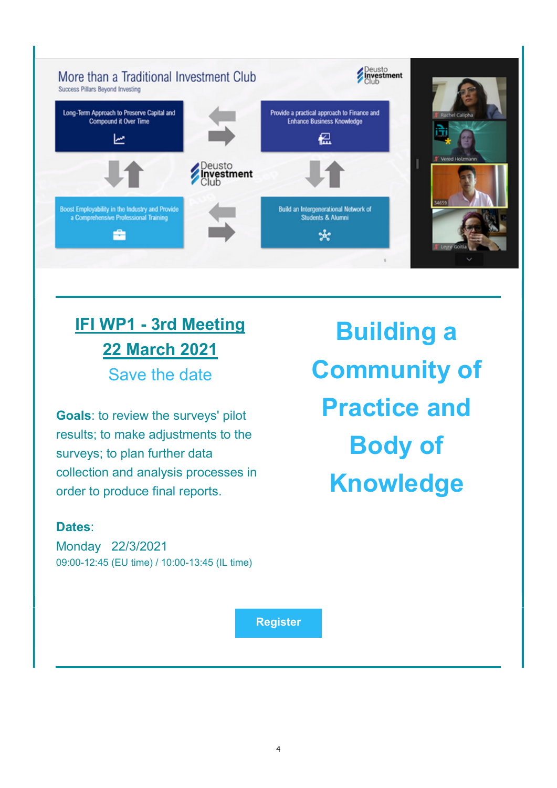

# IFI WP1 - 3rd Meeting 22 March 2021 Save the date

Goals: to review the surveys' pilot results; to make adjustments to the surveys; to plan further data collection and analysis processes in order to produce final reports.

### Dates:

Monday 22/3/2021 09:00-12:45 (EU time) / 10:00-13:45 (IL time)

Building a Community of Practice and Body of Knowledge

Register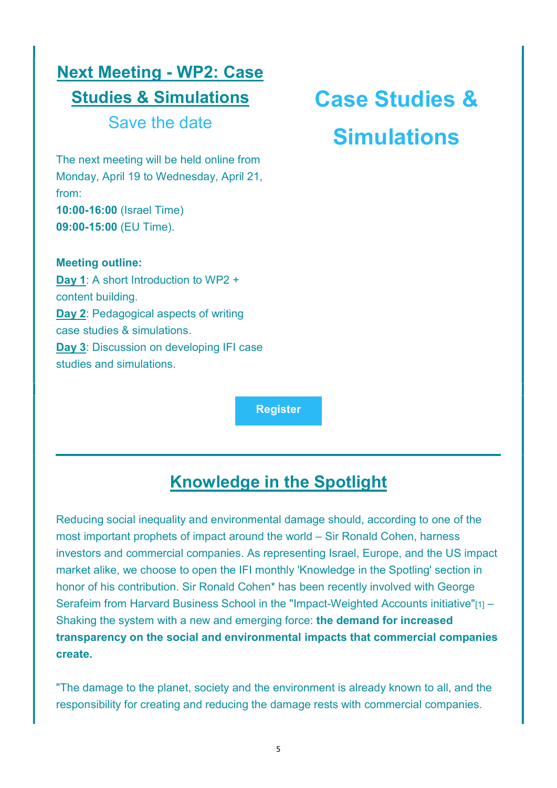## Next Meeting - WP2: Case Studies & Simulations Save the date

The next meeting will be held online from Monday, April 19 to Wednesday, April 21, from: 10:00-16:00 (Israel Time) 09:00-15:00 (EU Time).

Meeting outline: Day 1: A short Introduction to WP2 + content building. Day 2: Pedagogical aspects of writing case studies & simulations. Day 3: Discussion on developing IFI case studies and simulations.

# Case Studies & **Simulations**

**Register** 

## Knowledge in the Spotlight

Reducing social inequality and environmental damage should, according to one of the most important prophets of impact around the world – Sir Ronald Cohen, harness investors and commercial companies. As representing Israel, Europe, and the US impact market alike, we choose to open the IFI monthly 'Knowledge in the Spotling' section in honor of his contribution. Sir Ronald Cohen\* has been recently involved with George Serafeim from Harvard Business School in the "Impact-Weighted Accounts initiative"[1] -Shaking the system with a new and emerging force: the demand for increased transparency on the social and environmental impacts that commercial companies create.

"The damage to the planet, society and the environment is already known to all, and the responsibility for creating and reducing the damage rests with commercial companies.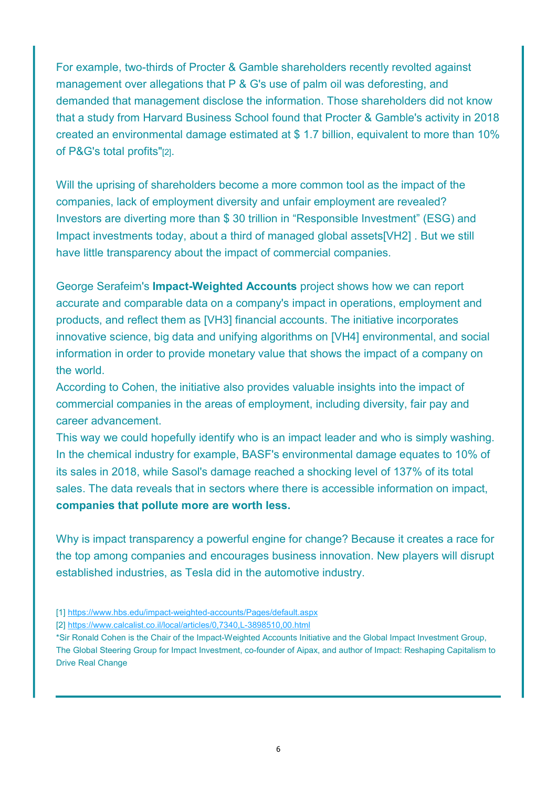For example, two-thirds of Procter & Gamble shareholders recently revolted against management over allegations that P & G's use of palm oil was deforesting, and demanded that management disclose the information. Those shareholders did not know that a study from Harvard Business School found that Procter & Gamble's activity in 2018 created an environmental damage estimated at \$ 1.7 billion, equivalent to more than 10% of P&G's total profits"[2].

Will the uprising of shareholders become a more common tool as the impact of the companies, lack of employment diversity and unfair employment are revealed? Investors are diverting more than \$ 30 trillion in "Responsible Investment" (ESG) and Impact investments today, about a third of managed global assets[VH2] . But we still have little transparency about the impact of commercial companies.

George Serafeim's Impact-Weighted Accounts project shows how we can report accurate and comparable data on a company's impact in operations, employment and products, and reflect them as [VH3] financial accounts. The initiative incorporates innovative science, big data and unifying algorithms on [VH4] environmental, and social information in order to provide monetary value that shows the impact of a company on the world.

According to Cohen, the initiative also provides valuable insights into the impact of commercial companies in the areas of employment, including diversity, fair pay and career advancement.

This way we could hopefully identify who is an impact leader and who is simply washing. In the chemical industry for example, BASF's environmental damage equates to 10% of its sales in 2018, while Sasol's damage reached a shocking level of 137% of its total sales. The data reveals that in sectors where there is accessible information on impact, companies that pollute more are worth less.

Why is impact transparency a powerful engine for change? Because it creates a race for the top among companies and encourages business innovation. New players will disrupt established industries, as Tesla did in the automotive industry.

[1] https://www.hbs.edu/impact-weighted-accounts/Pages/default.aspx

<sup>[2]</sup> https://www.calcalist.co.il/local/articles/0,7340,L-3898510,00.html

<sup>\*</sup>Sir Ronald Cohen is the Chair of the Impact-Weighted Accounts Initiative and the Global Impact Investment Group, The Global Steering Group for Impact Investment, co-founder of Aipax, and author of Impact: Reshaping Capitalism to Drive Real Change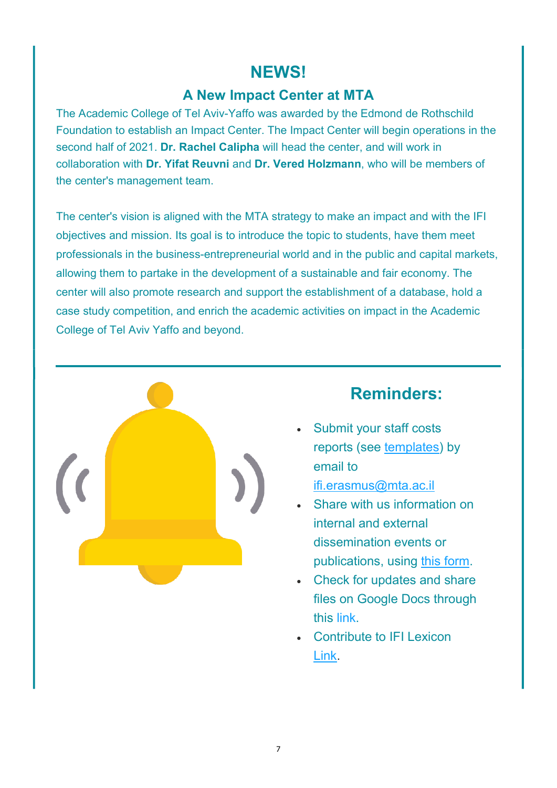## NEWS!

### A New Impact Center at MTA

The Academic College of Tel Aviv-Yaffo was awarded by the Edmond de Rothschild Foundation to establish an Impact Center. The Impact Center will begin operations in the second half of 2021. **Dr. Rachel Calipha** will head the center, and will work in collaboration with Dr. Yifat Reuvni and Dr. Vered Holzmann, who will be members of the center's management team.

The center's vision is aligned with the MTA strategy to make an impact and with the IFI objectives and mission. Its goal is to introduce the topic to students, have them meet professionals in the business-entrepreneurial world and in the public and capital markets, allowing them to partake in the development of a sustainable and fair economy. The center will also promote research and support the establishment of a database, hold a case study competition, and enrich the academic activities on impact in the Academic College of Tel Aviv Yaffo and beyond.



## Reminders:

- Submit your staff costs reports (see templates) by email to ifi.erasmus@mta.ac.il
- Share with us information on internal and external dissemination events or publications, using this form.
- Check for updates and share files on Google Docs through this link.
- Contribute to IFI Lexicon Link.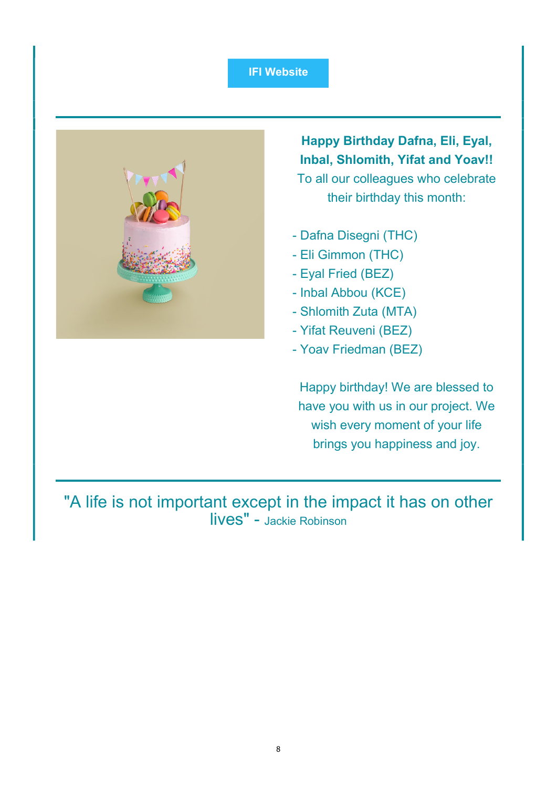#### IFI Website



Happy Birthday Dafna, Eli, Eyal, Inbal, Shlomith, Yifat and Yoav!! To all our colleagues who celebrate their birthday this month:

- Dafna Disegni (THC)
- Eli Gimmon (THC)
- Eyal Fried (BEZ)
- Inbal Abbou (KCE)
- Shlomith Zuta (MTA)
- Yifat Reuveni (BEZ)
- Yoav Friedman (BEZ)

Happy birthday! We are blessed to have you with us in our project. We wish every moment of your life brings you happiness and joy.

"A life is not important except in the impact it has on other lives" - Jackie Robinson